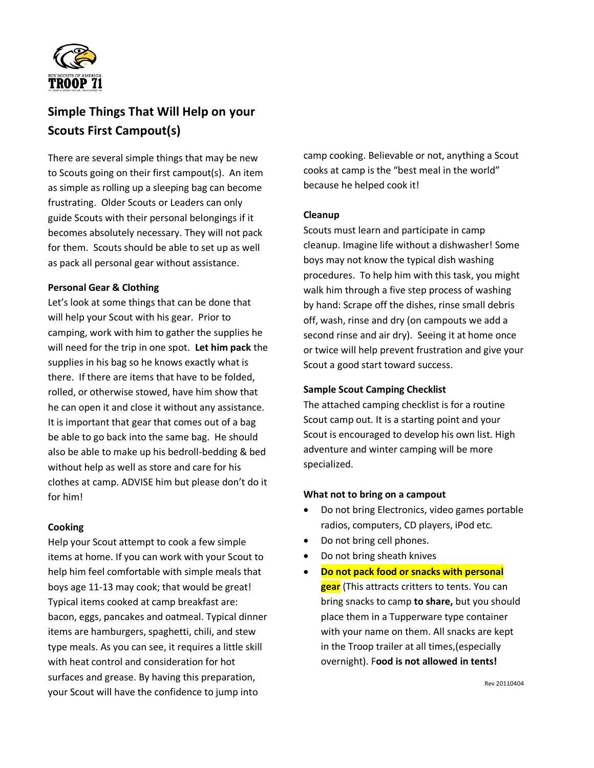

# **Simple Things That Will Help on your Scouts First Campout(s)**

There are several simple things that may be new to Scouts going on their first campout(s). An item as simple as rolling up a sleeping bag can become frustrating. Older Scouts or Leaders can only guide Scouts with their personal belongings if it becomes absolutely necessary. They will not pack for them. Scouts should be able to set up as well as pack all personal gear without assistance.

### **Personal Gear & Clothing**

Let's look at some things that can be done that will help your Scout with his gear. Prior to camping, work with him to gather the supplies he will need for the trip in one spot. **Let him pack** the supplies in his bag so he knows exactly what is there. If there are items that have to be folded, rolled, or otherwise stowed, have him show that he can open it and close it without any assistance. It is important that gear that comes out of a bag be able to go back into the same bag. He should also be able to make up his bedroll-bedding & bed without help as well as store and care for his clothes at camp. ADVISE him but please don't do it for him!

### **Cooking**

Help your Scout attempt to cook a few simple items at home. If you can work with your Scout to help him feel comfortable with simple meals that boys age 11-13 may cook; that would be great! Typical items cooked at camp breakfast are: bacon, eggs, pancakes and oatmeal. Typical dinner items are hamburgers, spaghetti, chili, and stew type meals. As you can see, it requires a little skill with heat control and consideration for hot surfaces and grease. By having this preparation, your Scout will have the confidence to jump into

camp cooking. Believable or not, anything a Scout cooks at camp is the "best meal in the world" because he helped cook it!

## **Cleanup**

Scouts must learn and participate in camp cleanup. Imagine life without a dishwasher! Some boys may not know the typical dish washing procedures. To help him with this task, you might walk him through a five step process of washing by hand: Scrape off the dishes, rinse small debris off, wash, rinse and dry (on campouts we add a second rinse and air dry). Seeing it at home once or twice will help prevent frustration and give your Scout a good start toward success.

### **Sample Scout Camping Checklist**

The attached camping checklist is for a routine Scout camp out. It is a starting point and your Scout is encouraged to develop his own list. High adventure and winter camping will be more specialized.

### **What not to bring on a campout**

- Do not bring Electronics, video games portable radios, computers, CD players, iPod etc.
- Do not bring cell phones.
- Do not bring sheath knives
- **Do not pack food or snacks with personal gear** (This attracts critters to tents. You can bring snacks to camp **to share,** but you should place them in a Tupperware type container with your name on them. All snacks are kept in the Troop trailer at all times,(especially overnight). F**ood is not allowed in tents!**